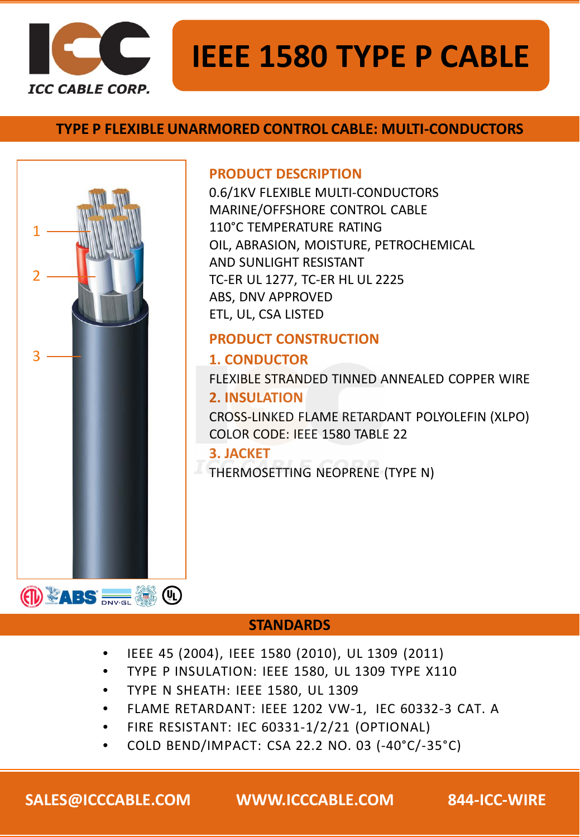

### **TYPE P FLEXIBLE UNARMORED CONTROL CABLE: MULTI-CONDUCTORS**



#### **PRODUCT DESCRIPTION**

0.6/1KV FLEXIBLE MULTI-CONDUCTORS MARINE/OFFSHORE CONTROL CABLE 110°C TEMPERATURE RATING OIL, ABRASION, MOISTURE, PETROCHEMICAL AND SUNLIGHT RESISTANT TC-ER UL 1277, TC-ER HL UL 2225 ABS, DNV APPROVED ETL, UL, CSA LISTED

### **PRODUCT CONSTRUCTION**

### **1. CONDUCTOR**

FLEXIBLE STRANDED TINNED ANNEALED COPPER WIRE **2. INSULATION**

CROSS-LINKED FLAME RETARDANT POLYOLEFIN (XLPO) COLOR CODE: IEEE 1580 TABLE 22

#### **3. JACKET**

THERMOSETTING NEOPRENE (TYPE N)

#### **STANDARDS**

- IEEE 45 (2004), IEEE 1580 (2010), UL 1309 (2011)
- TYPE P INSULATION: IEEE 1580, UL 1309 TYPE X110
- TYPE N SHEATH: IEEE 1580, UL 1309
- FLAME RETARDANT: IEEE 1202 VW-1, IEC 60332-3 CAT. A
- FIRE RESISTANT: IEC 60331-1/2/21 (OPTIONAL)
- COLD BEND/IMPACT: CSA 22.2 NO. 03 (-40°C/-35°C)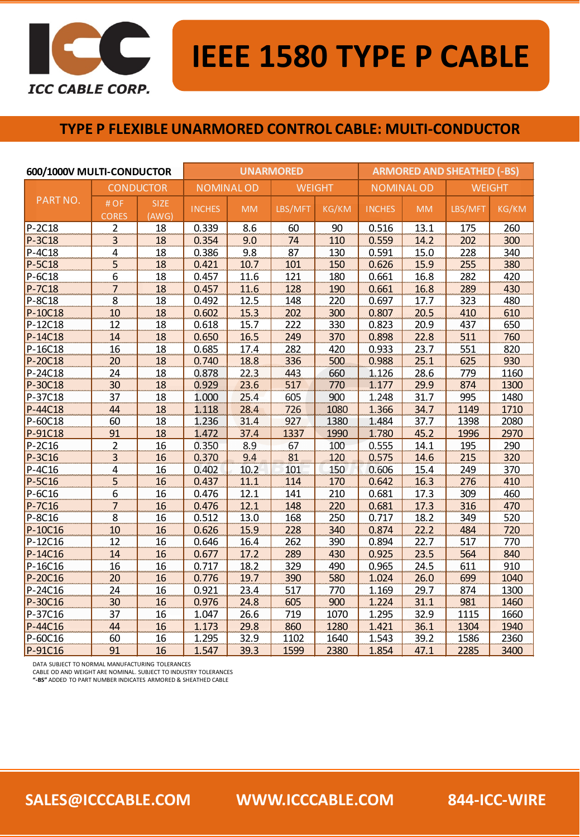

#### **TYPE P FLEXIBLE UNARMORED CONTROL CABLE: MULTI-CONDUCTOR**

| 600/1000V MULTI-CONDUCTOR |                                      | <b>UNARMORED</b>     |                  |           |               | <b>ARMORED AND SHEATHED (-BS)</b> |                  |           |               |       |
|---------------------------|--------------------------------------|----------------------|------------------|-----------|---------------|-----------------------------------|------------------|-----------|---------------|-------|
| PART NO.                  | <b>CONDUCTOR</b>                     |                      | <b>NOMINALOD</b> |           | <b>WEIGHT</b> |                                   | <b>NOMINALOD</b> |           | <b>WEIGHT</b> |       |
|                           | #OF<br><b>CORES</b>                  | <b>SIZE</b><br>(AWG) | <b>INCHES</b>    | <b>MM</b> | LBS/MFT       | KG/KM                             | <b>INCHES</b>    | <b>MM</b> | LBS/MFT       | KG/KM |
| P-2C18                    | $\overline{2}$                       | 18                   | 0.339            | 8.6       | 60            | 90                                | 0.516            | 13.1      | 175           | 260   |
| P-3C18                    | $\overline{3}$                       | 18                   | 0.354            | 9.0       | 74            | 110                               | 0.559            | 14.2      | 202           | 300   |
| P-4C18                    | $\overline{4}$                       | 18                   | 0.386            | 9.8       | 87            | 130                               | 0.591            | 15.0      | 228           | 340   |
| P-5C18                    | $\overline{5}$                       | 18                   | 0.421            | 10.7      | 101           | 150                               | 0.626            | 15.9      | 255           | 380   |
| P-6C18                    | 6                                    | 18                   | 0.457            | 11.6      | 121           | 180                               | 0.661            | 16.8      | 282           | 420   |
| P-7C18                    | $\overline{7}$                       | 18                   | 0.457            | 11.6      | 128           | 190                               | 0.661            | 16.8      | 289           | 430   |
| P-8C18                    | 8                                    | 18                   | 0.492            | 12.5      | 148           | 220                               | 0.697            | 17.7      | 323           | 480   |
| P-10C18                   | 10                                   | 18                   | 0.602            | 15.3      | 202           | 300                               | 0.807            | 20.5      | 410           | 610   |
| P-12C18                   | 12                                   | 18                   | 0.618            | 15.7      | 222           | 330                               | 0.823            | 20.9      | 437           | 650   |
| P-14C18                   | 14                                   | 18                   | 0.650            | 16.5      | 249           | 370                               | 0.898            | 22.8      | 511           | 760   |
| P-16C18                   | 16                                   | 18                   | 0.685            | 17.4      | 282           | 420                               | 0.933            | 23.7      | 551           | 820   |
| P-20C18                   | 20                                   | 18                   | 0.740            | 18.8      | 336           | 500                               | 0.988            | 25.1      | 625           | 930   |
| P-24C18                   | 24                                   | 18                   | 0.878            | 22.3      | 443           | 660                               | 1.126            | 28.6      | 779           | 1160  |
| P-30C18                   | 30                                   | 18                   | 0.929            | 23.6      | 517           | 770                               | 1.177            | 29.9      | 874           | 1300  |
| P-37C18                   | 37                                   | 18                   | 1.000            | 25.4      | 605           | 900                               | 1.248            | 31.7      | 995           | 1480  |
| P-44C18                   | 44                                   | 18                   | 1.118            | 28.4      | 726           | 1080                              | 1.366            | 34.7      | 1149          | 1710  |
| P-60C18                   | 60                                   | 18                   | 1.236            | 31.4      | 927           | 1380                              | 1.484            | 37.7      | 1398          | 2080  |
| P-91C18                   | 91                                   | 18                   | 1.472            | 37.4      | 1337          | 1990                              | 1.780            | 45.2      | 1996          | 2970  |
| P-2C16                    | $\overline{2}$                       | 16                   | 0.350            | 8.9       | 67            | 100                               | 0.555            | 14.1      | 195           | 290   |
| $P-3C16$                  | $\overline{3}$                       | 16                   | 0.370            | 9.4       | 81            | 120                               | 0.575            | 14.6      | 215           | 320   |
| P-4C16                    | $\overline{4}$                       | 16                   | 0.402            | 10.2      | 101           | 150                               | 0.606            | 15.4      | 249           | 370   |
| P-5C16                    | $\overline{5}$                       | 16                   | 0.437            | 11.1      | 114           | 170                               | 0.642            | 16.3      | 276           | 410   |
| P-6C16                    | $\boldsymbol{6}$                     | 16                   | 0.476            | 12.1      | 141           | 210                               | 0.681            | 17.3      | 309           | 460   |
| P-7C16                    | $\overline{7}$                       | 16                   | 0.476            | 12.1      | 148           | 220                               | 0.681            | 17.3      | 316           | 470   |
| P-8C16                    | $\overline{\overline{\overline{8}}}$ | 16                   | 0.512            | 13.0      | 168           | 250                               | 0.717            | 18.2      | 349           | 520   |
| P-10C16                   | 10                                   | 16                   | 0.626            | 15.9      | 228           | 340                               | 0.874            | 22.2      | 484           | 720   |
| P-12C16                   | 12                                   | 16                   | 0.646            | 16.4      | 262           | 390                               | 0.894            | 22.7      | 517           | 770   |
| P-14C16                   | 14                                   | 16                   | 0.677            | 17.2      | 289           | 430                               | 0.925            | 23.5      | 564           | 840   |
| P-16C16                   | 16                                   | 16                   | 0.717            | 18.2      | 329           | 490                               | 0.965            | 24.5      | 611           | 910   |
| P-20C16                   | 20                                   | 16                   | 0.776            | 19.7      | 390           | 580                               | 1.024            | 26.0      | 699           | 1040  |
| P-24C16                   | 24                                   | 16                   | 0.921            | 23.4      | 517           | 770                               | 1.169            | 29.7      | 874           | 1300  |
| P-30C16                   | 30                                   | 16                   | 0.976            | 24.8      | 605           | 900                               | 1.224            | 31.1      | 981           | 1460  |
| P-37C16                   | 37                                   | 16                   | 1.047            | 26.6      | 719           | 1070                              | 1.295            | 32.9      | 1115          | 1660  |
| P-44C16                   | 44                                   | 16                   | 1.173            | 29.8      | 860           | 1280                              | 1.421            | 36.1      | 1304          | 1940  |
| P-60C16                   | 60                                   | 16                   | 1.295            | 32.9      | 1102          | 1640                              | 1.543            | 39.2      | 1586          | 2360  |
| P-91C16                   | 91                                   | 16                   | 1.547            | 39.3      | 1599          | 2380                              | 1.854            | 47.1      | 2285          | 3400  |

DATA SUBJECT TO NORMAL MANUFACTURING TOLERANCES

CABLE OD AND WEIGHT ARE NOMINAL. SUBJECT TO INDUSTRY TOLERANCES **"-BS"** ADDED TO PART NUMBER INDICATES ARMORED & SHEATHED CABLE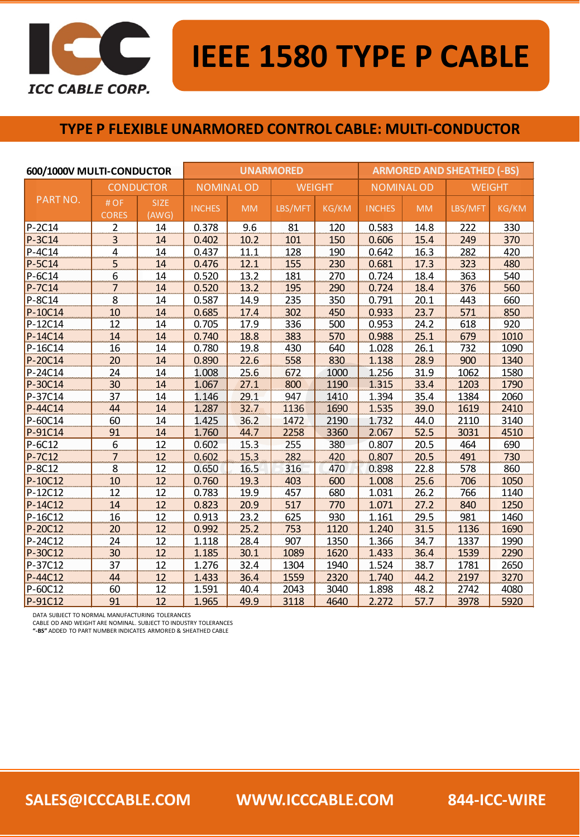

#### **TYPE P FLEXIBLE UNARMORED CONTROL CABLE: MULTI-CONDUCTOR**

| 600/1000V MULTI-CONDUCTOR |                     | <b>UNARMORED</b>     |                  |           |               | <b>ARMORED AND SHEATHED (-BS)</b> |                   |           |               |              |
|---------------------------|---------------------|----------------------|------------------|-----------|---------------|-----------------------------------|-------------------|-----------|---------------|--------------|
| PART NO.                  | <b>CONDUCTOR</b>    |                      | <b>NOMINALOD</b> |           | <b>WEIGHT</b> |                                   | <b>NOMINAL OD</b> |           | <b>WEIGHT</b> |              |
|                           | #OF<br><b>CORES</b> | <b>SIZE</b><br>(AWG) | <b>INCHES</b>    | <b>MM</b> | LBS/MFT       | <b>KG/KM</b>                      | <b>INCHES</b>     | <b>MM</b> | LBS/MFT       | <b>KG/KM</b> |
| P-2C14                    | $\overline{2}$      | 14                   | 0.378            | 9.6       | 81            | 120                               | 0.583             | 14.8      | 222           | 330          |
| P-3C14                    | 3                   | 14                   | 0.402            | 10.2      | 101           | 150                               | 0.606             | 15.4      | 249           | 370          |
| P-4C14                    | 4                   | 14                   | 0.437            | 11.1      | 128           | 190                               | 0.642             | 16.3      | 282           | 420          |
| P-5C14                    | 5                   | 14                   | 0.476            | 12.1      | 155           | 230                               | 0.681             | 17.3      | 323           | 480          |
| P-6C14                    | 6                   | 14                   | 0.520            | 13.2      | 181           | 270                               | 0.724             | 18.4      | 363           | 540          |
| P-7C14                    | 7                   | 14                   | 0.520            | 13.2      | 195           | 290                               | 0.724             | 18.4      | 376           | 560          |
| P-8C14                    | 8                   | 14                   | 0.587            | 14.9      | 235           | 350                               | 0.791             | 20.1      | 443           | 660          |
| P-10C14                   | 10                  | 14                   | 0.685            | 17.4      | 302           | 450                               | 0.933             | 23.7      | 571           | 850          |
| P-12C14                   | 12                  | 14                   | 0.705            | 17.9      | 336           | 500                               | 0.953             | 24.2      | 618           | 920          |
| P-14C14                   | 14                  | 14                   | 0.740            | 18.8      | 383           | 570                               | 0.988             | 25.1      | 679           | 1010         |
| P-16C14                   | 16                  | 14                   | 0.780            | 19.8      | 430           | 640                               | 1.028             | 26.1      | 732           | 1090         |
| P-20C14                   | 20                  | 14                   | 0.890            | 22.6      | 558           | 830                               | 1.138             | 28.9      | 900           | 1340         |
| P-24C14                   | 24                  | 14                   | 1.008            | 25.6      | 672           | 1000                              | 1.256             | 31.9      | 1062          | 1580         |
| P-30C14                   | 30                  | 14                   | 1.067            | 27.1      | 800           | 1190                              | 1.315             | 33.4      | 1203          | 1790         |
| P-37C14                   | 37                  | 14                   | 1.146            | 29.1      | 947           | 1410                              | 1.394             | 35.4      | 1384          | 2060         |
| P-44C14                   | 44                  | 14                   | 1.287            | 32.7      | 1136          | 1690                              | 1.535             | 39.0      | 1619          | 2410         |
| P-60C14                   | 60                  | 14                   | 1.425            | 36.2      | 1472          | 2190                              | 1.732             | 44.0      | 2110          | 3140         |
| P-91C14                   | 91                  | 14                   | 1.760            | 44.7      | 2258          | 3360                              | 2.067             | 52.5      | 3031          | 4510         |
| P-6C12                    | 6                   | 12                   | 0.602            | 15.3      | 255           | 380                               | 0.807             | 20.5      | 464           | 690          |
| P-7C12                    | $\overline{7}$      | 12                   | 0.602            | 15.3      | 282           | 420                               | 0.807             | 20.5      | 491           | 730          |
| P-8C12                    | 8                   | 12                   | 0.650            | 16.5      | 316           | 470                               | 0.898             | 22.8      | 578           | 860          |
| P-10C12                   | 10                  | 12                   | 0.760            | 19.3      | 403           | 600                               | 1.008             | 25.6      | 706           | 1050         |
| P-12C12                   | 12                  | 12                   | 0.783            | 19.9      | 457           | 680                               | 1.031             | 26.2      | 766           | 1140         |
| P-14C12                   | 14                  | 12                   | 0.823            | 20.9      | 517           | 770                               | 1.071             | 27.2      | 840           | 1250         |
| P-16C12                   | 16                  | 12                   | 0.913            | 23.2      | 625           | 930                               | 1.161             | 29.5      | 981           | 1460         |
| P-20C12                   | 20                  | 12                   | 0.992            | 25.2      | 753           | 1120                              | 1.240             | 31.5      | 1136          | 1690         |
| P-24C12                   | 24                  | 12                   | 1.118            | 28.4      | 907           | 1350                              | 1.366             | 34.7      | 1337          | 1990         |
| P-30C12                   | 30                  | 12                   | 1.185            | 30.1      | 1089          | 1620                              | 1.433             | 36.4      | 1539          | 2290         |
| P-37C12                   | 37                  | 12                   | 1.276            | 32.4      | 1304          | 1940                              | 1.524             | 38.7      | 1781          | 2650         |
| P-44C12                   | 44                  | 12                   | 1.433            | 36.4      | 1559          | 2320                              | 1.740             | 44.2      | 2197          | 3270         |
| P-60C12                   | 60                  | 12                   | 1.591            | 40.4      | 2043          | 3040                              | 1.898             | 48.2      | 2742          | 4080         |
| P-91C12                   | 91                  | 12                   | 1.965            | 49.9      | 3118          | 4640                              | 2.272             | 57.7      | 3978          | 5920         |

DATA SUBJECT TO NORMAL MANUFACTURING TOLERANCES

CABLE OD AND WEIGHT ARE NOMINAL. SUBJECT TO INDUSTRY TOLERANCES **"-BS"** ADDED TO PART NUMBER INDICATES ARMORED & SHEATHED CABLE